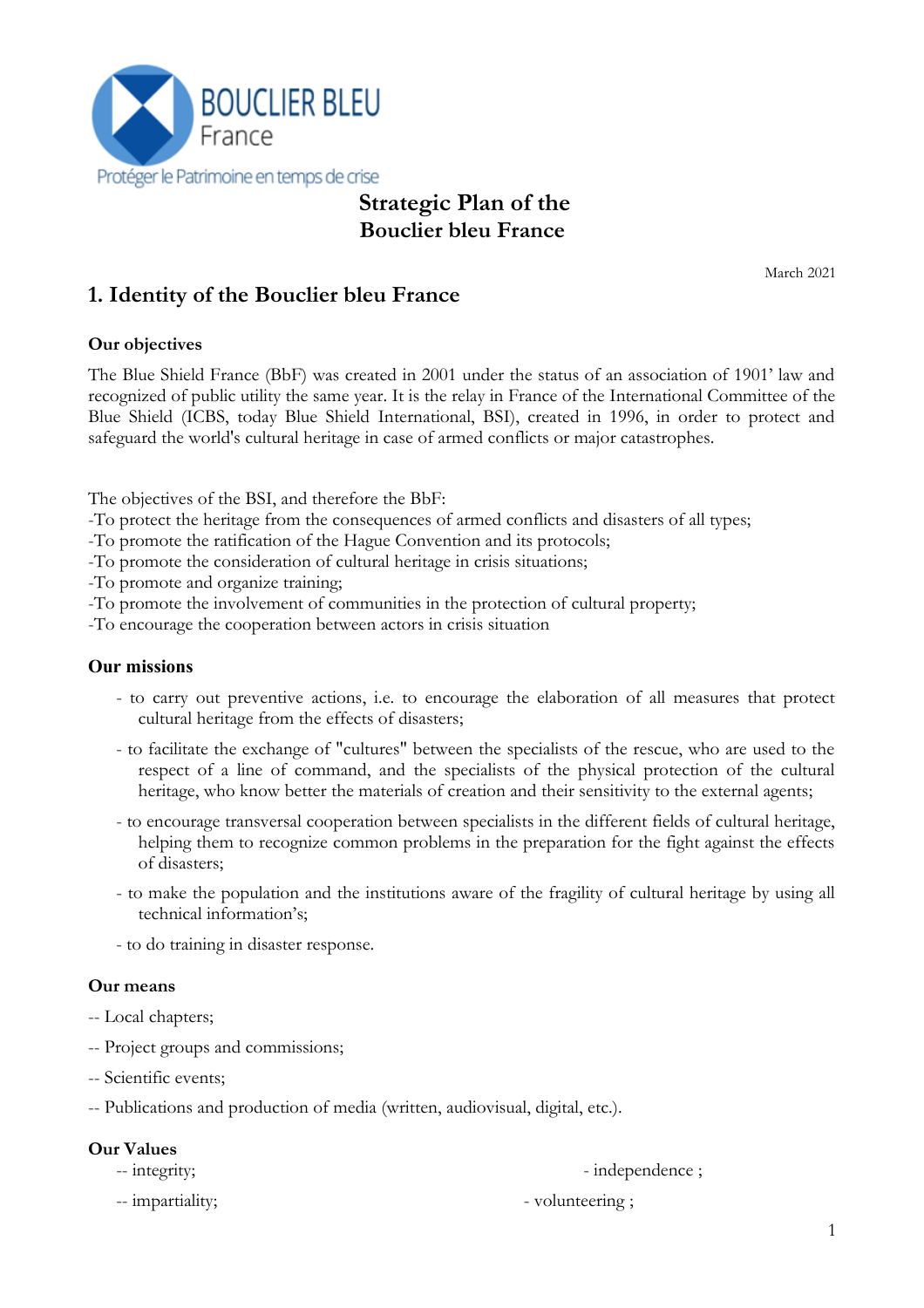

# **Strategic Plan of the Bouclier bleu France**

March 2021

# **1. Identity of the Bouclier bleu France**

#### **Our objectives**

The Blue Shield France (BbF) was created in 2001 under the status of an association of 1901' law and recognized of public utility the same year. It is the relay in France of the International Committee of the Blue Shield (ICBS, today Blue Shield International, BSI), created in 1996, in order to protect and safeguard the world's cultural heritage in case of armed conflicts or major catastrophes.

The objectives of the BSI, and therefore the BbF:

- -To protect the heritage from the consequences of armed conflicts and disasters of all types;
- -To promote the ratification of the Hague Convention and its protocols;
- -To promote the consideration of cultural heritage in crisis situations;

-To promote and organize training;

-To promote the involvement of communities in the protection of cultural property;

-To encourage the cooperation between actors in crisis situation

#### **Our missions**

- to carry out preventive actions, i.e. to encourage the elaboration of all measures that protect cultural heritage from the effects of disasters;
- to facilitate the exchange of "cultures" between the specialists of the rescue, who are used to the respect of a line of command, and the specialists of the physical protection of the cultural heritage, who know better the materials of creation and their sensitivity to the external agents;
- to encourage transversal cooperation between specialists in the different fields of cultural heritage, helping them to recognize common problems in the preparation for the fight against the effects of disasters;
- to make the population and the institutions aware of the fragility of cultural heritage by using all technical information's;
- to do training in disaster response.

#### **Our means**

- -- Local chapters;
- -- Project groups and commissions;
- -- Scientific events;
- -- Publications and production of media (written, audiovisual, digital, etc.).

#### **Our Values**

-- integrity;  $\blacksquare$ 

-- impartiality;  $\blacksquare$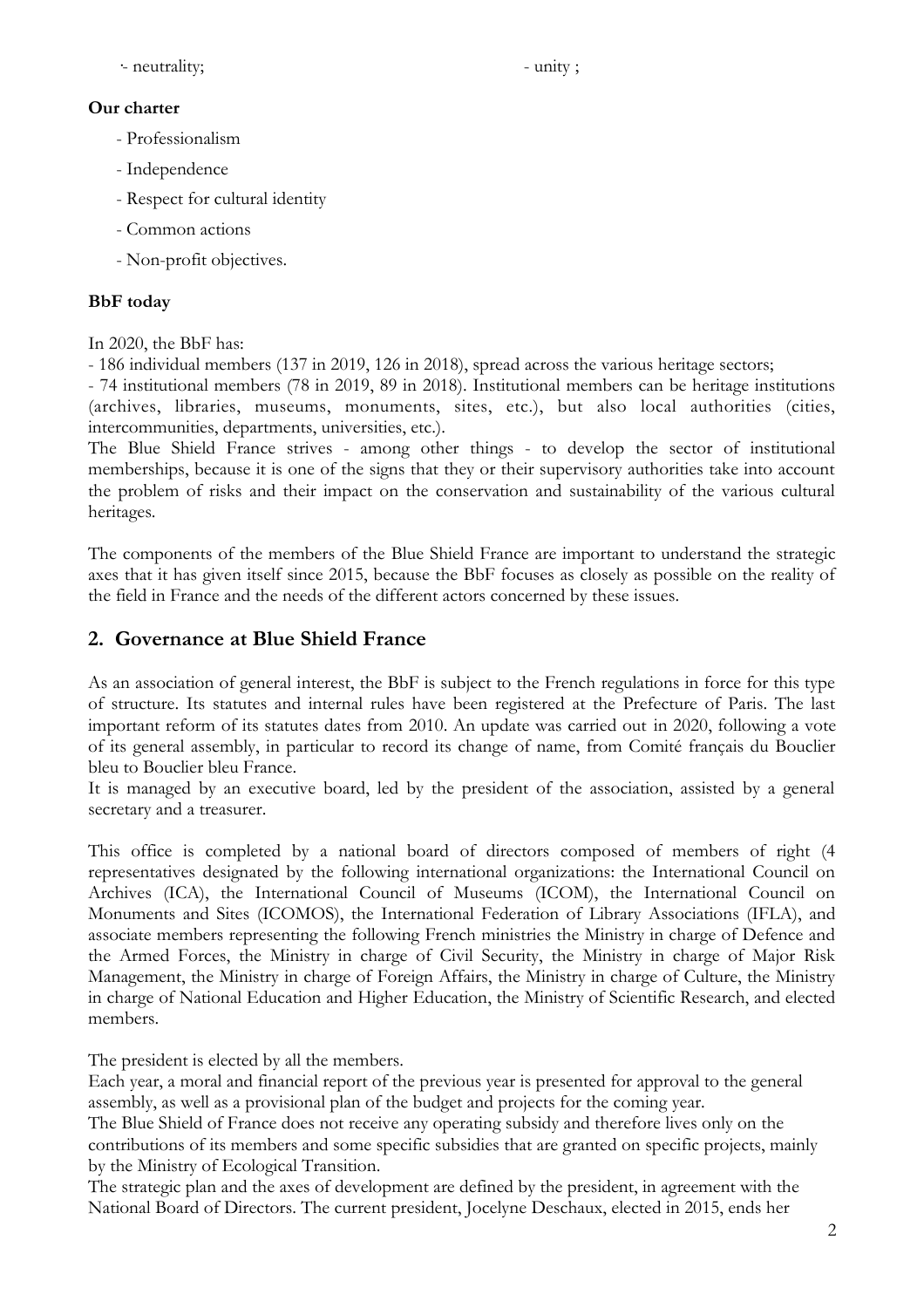·- neutrality; - unity ;

#### **Our charter**

- Professionalism
- Independence
- Respect for cultural identity
- Common actions
- Non-profit objectives.

### **BbF today**

In 2020, the BbF has:

- 186 individual members (137 in 2019, 126 in 2018), spread across the various heritage sectors;

- 74 institutional members (78 in 2019, 89 in 2018). Institutional members can be heritage institutions (archives, libraries, museums, monuments, sites, etc.), but also local authorities (cities, intercommunities, departments, universities, etc.).

The Blue Shield France strives - among other things - to develop the sector of institutional memberships, because it is one of the signs that they or their supervisory authorities take into account the problem of risks and their impact on the conservation and sustainability of the various cultural heritages.

The components of the members of the Blue Shield France are important to understand the strategic axes that it has given itself since 2015, because the BbF focuses as closely as possible on the reality of the field in France and the needs of the different actors concerned by these issues.

# **2. Governance at Blue Shield France**

As an association of general interest, the BbF is subject to the French regulations in force for this type of structure. Its statutes and internal rules have been registered at the Prefecture of Paris. The last important reform of its statutes dates from 2010. An update was carried out in 2020, following a vote of its general assembly, in particular to record its change of name, from Comité français du Bouclier bleu to Bouclier bleu France.

It is managed by an executive board, led by the president of the association, assisted by a general secretary and a treasurer.

This office is completed by a national board of directors composed of members of right (4 representatives designated by the following international organizations: the International Council on Archives (ICA), the International Council of Museums (ICOM), the International Council on Monuments and Sites (ICOMOS), the International Federation of Library Associations (IFLA), and associate members representing the following French ministries the Ministry in charge of Defence and the Armed Forces, the Ministry in charge of Civil Security, the Ministry in charge of Major Risk Management, the Ministry in charge of Foreign Affairs, the Ministry in charge of Culture, the Ministry in charge of National Education and Higher Education, the Ministry of Scientific Research, and elected members.

The president is elected by all the members.

Each year, a moral and financial report of the previous year is presented for approval to the general assembly, as well as a provisional plan of the budget and projects for the coming year.

The Blue Shield of France does not receive any operating subsidy and therefore lives only on the contributions of its members and some specific subsidies that are granted on specific projects, mainly by the Ministry of Ecological Transition.

The strategic plan and the axes of development are defined by the president, in agreement with the National Board of Directors. The current president, Jocelyne Deschaux, elected in 2015, ends her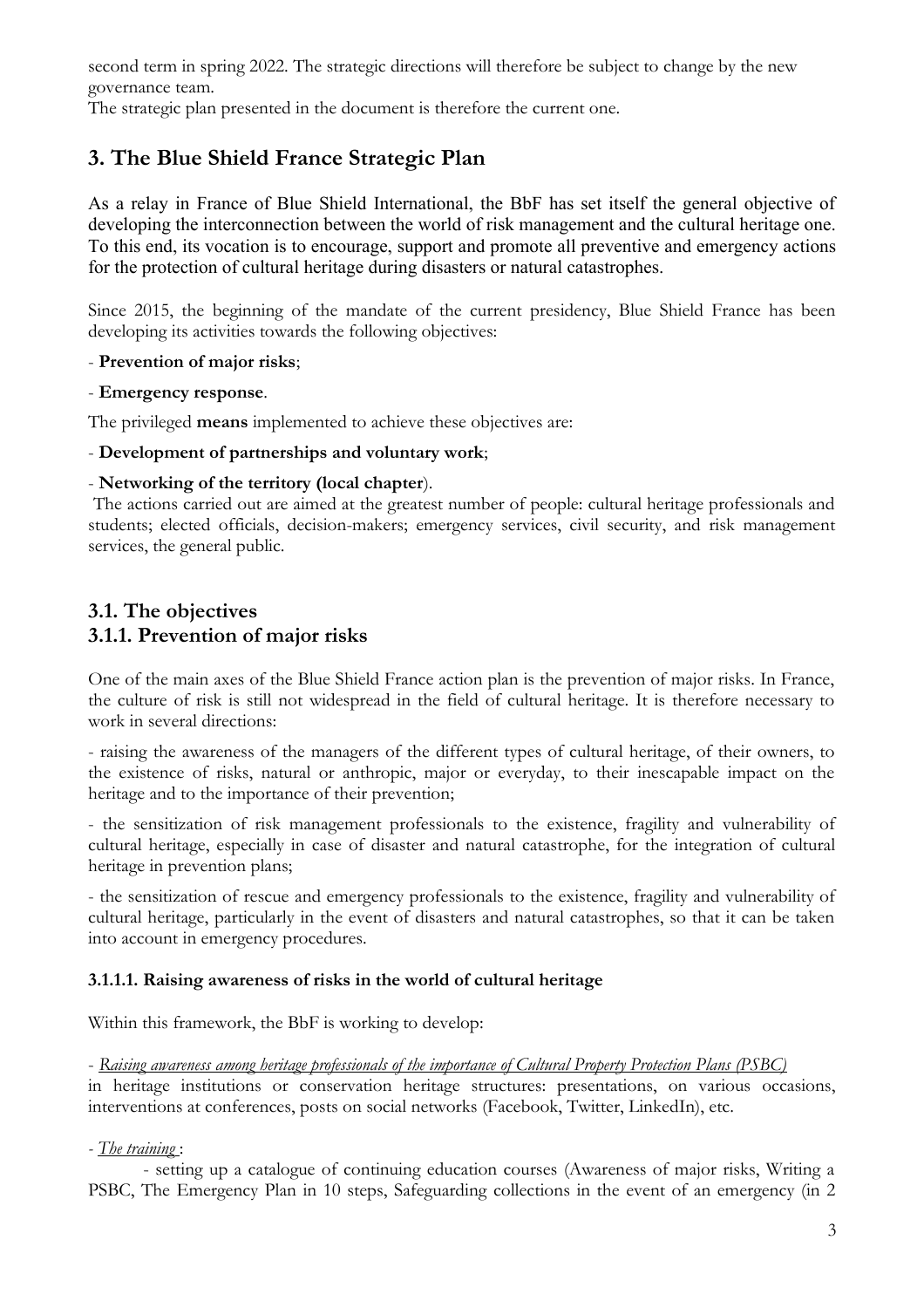second term in spring 2022. The strategic directions will therefore be subject to change by the new governance team.

The strategic plan presented in the document is therefore the current one.

# **3. The Blue Shield France Strategic Plan**

As a relay in France of Blue Shield International, the BbF has set itself the general objective of developing the interconnection between the world of risk management and the cultural heritage one. To this end, its vocation is to encourage, support and promote all preventive and emergency actions for the protection of cultural heritage during disasters or natural catastrophes.

Since 2015, the beginning of the mandate of the current presidency, Blue Shield France has been developing its activities towards the following objectives:

#### - **Prevention of major risks**;

- **Emergency response**.

The privileged **means** implemented to achieve these objectives are:

#### - **Development of partnerships and voluntary work**;

#### - **Networking of the territory (local chapter**).

 The actions carried out are aimed at the greatest number of people: cultural heritage professionals and students; elected officials, decision-makers; emergency services, civil security, and risk management services, the general public.

## **3.1. The objectives 3.1.1. Prevention of major risks**

One of the main axes of the Blue Shield France action plan is the prevention of major risks. In France, the culture of risk is still not widespread in the field of cultural heritage. It is therefore necessary to work in several directions:

- raising the awareness of the managers of the different types of cultural heritage, of their owners, to the existence of risks, natural or anthropic, major or everyday, to their inescapable impact on the heritage and to the importance of their prevention;

- the sensitization of risk management professionals to the existence, fragility and vulnerability of cultural heritage, especially in case of disaster and natural catastrophe, for the integration of cultural heritage in prevention plans;

- the sensitization of rescue and emergency professionals to the existence, fragility and vulnerability of cultural heritage, particularly in the event of disasters and natural catastrophes, so that it can be taken into account in emergency procedures.

#### **3.1.1.1. Raising awareness of risks in the world of cultural heritage**

Within this framework, the BbF is working to develop:

#### - *Raising awareness among heritage professionals of the importance of Cultural Property Protection Plans (PSBC)*

in heritage institutions or conservation heritage structures: presentations, on various occasions, interventions at conferences, posts on social networks (Facebook, Twitter, LinkedIn), etc.

#### *- The training* :

- setting up a catalogue of continuing education courses (Awareness of major risks, Writing a PSBC, The Emergency Plan in 10 steps, Safeguarding collections in the event of an emergency (in 2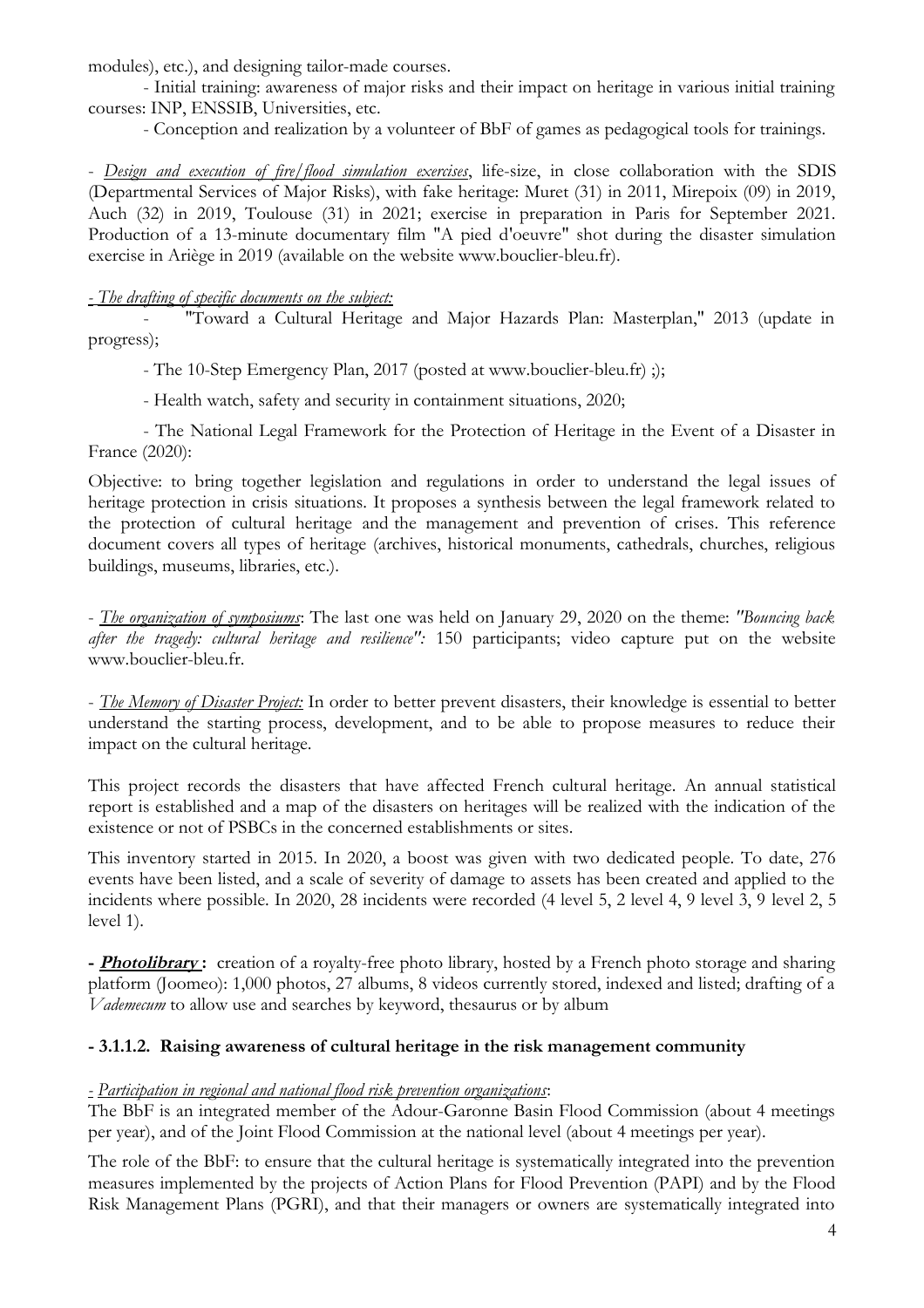modules), etc.), and designing tailor-made courses.

- Initial training: awareness of major risks and their impact on heritage in various initial training courses: INP, ENSSIB, Universities, etc.

- Conception and realization by a volunteer of BbF of games as pedagogical tools for trainings.

- *Design and execution of fire/flood simulation exercises*, life-size, in close collaboration with the SDIS (Departmental Services of Major Risks), with fake heritage: Muret (31) in 2011, Mirepoix (09) in 2019, Auch (32) in 2019, Toulouse (31) in 2021; exercise in preparation in Paris for September 2021. Production of a 13-minute documentary film "A pied d'oeuvre" shot during the disaster simulation exercise in Ariège in 2019 (available on the website www.bouclier-bleu.fr).

#### *- The drafting of specific documents on the subject:*

- "Toward a Cultural Heritage and Major Hazards Plan: Masterplan," 2013 (update in progress);

- The 10-Step Emergency Plan, 2017 (posted at www.bouclier-bleu.fr) ;);

- Health watch, safety and security in containment situations, 2020;

- The National Legal Framework for the Protection of Heritage in the Event of a Disaster in France (2020):

Objective: to bring together legislation and regulations in order to understand the legal issues of heritage protection in crisis situations. It proposes a synthesis between the legal framework related to the protection of cultural heritage and the management and prevention of crises. This reference document covers all types of heritage (archives, historical monuments, cathedrals, churches, religious buildings, museums, libraries, etc.).

- *The organization of symposiums*: The last one was held on January 29, 2020 on the theme: *"Bouncing back after the tragedy: cultural heritage and resilience":* 150 participants; video capture put on the website www.bouclier-bleu.fr.

- *The Memory of Disaster Project:* In order to better prevent disasters, their knowledge is essential to better understand the starting process, development, and to be able to propose measures to reduce their impact on the cultural heritage.

This project records the disasters that have affected French cultural heritage. An annual statistical report is established and a map of the disasters on heritages will be realized with the indication of the existence or not of PSBCs in the concerned establishments or sites.

This inventory started in 2015. In 2020, a boost was given with two dedicated people. To date, 276 events have been listed, and a scale of severity of damage to assets has been created and applied to the incidents where possible. In 2020, 28 incidents were recorded (4 level 5, 2 level 4, 9 level 3, 9 level 2, 5 level 1).

**- Photolibrary :** creation of a royalty-free photo library, hosted by a French photo storage and sharing platform (Joomeo): 1,000 photos, 27 albums, 8 videos currently stored, indexed and listed; drafting of a *Vademecum* to allow use and searches by keyword, thesaurus or by album

#### **- 3.1.1.2. Raising awareness of cultural heritage in the risk management community**

#### *- Participation in regional and national flood risk prevention organizations*:

The BbF is an integrated member of the Adour-Garonne Basin Flood Commission (about 4 meetings per year), and of the Joint Flood Commission at the national level (about 4 meetings per year).

The role of the BbF: to ensure that the cultural heritage is systematically integrated into the prevention measures implemented by the projects of Action Plans for Flood Prevention (PAPI) and by the Flood Risk Management Plans (PGRI), and that their managers or owners are systematically integrated into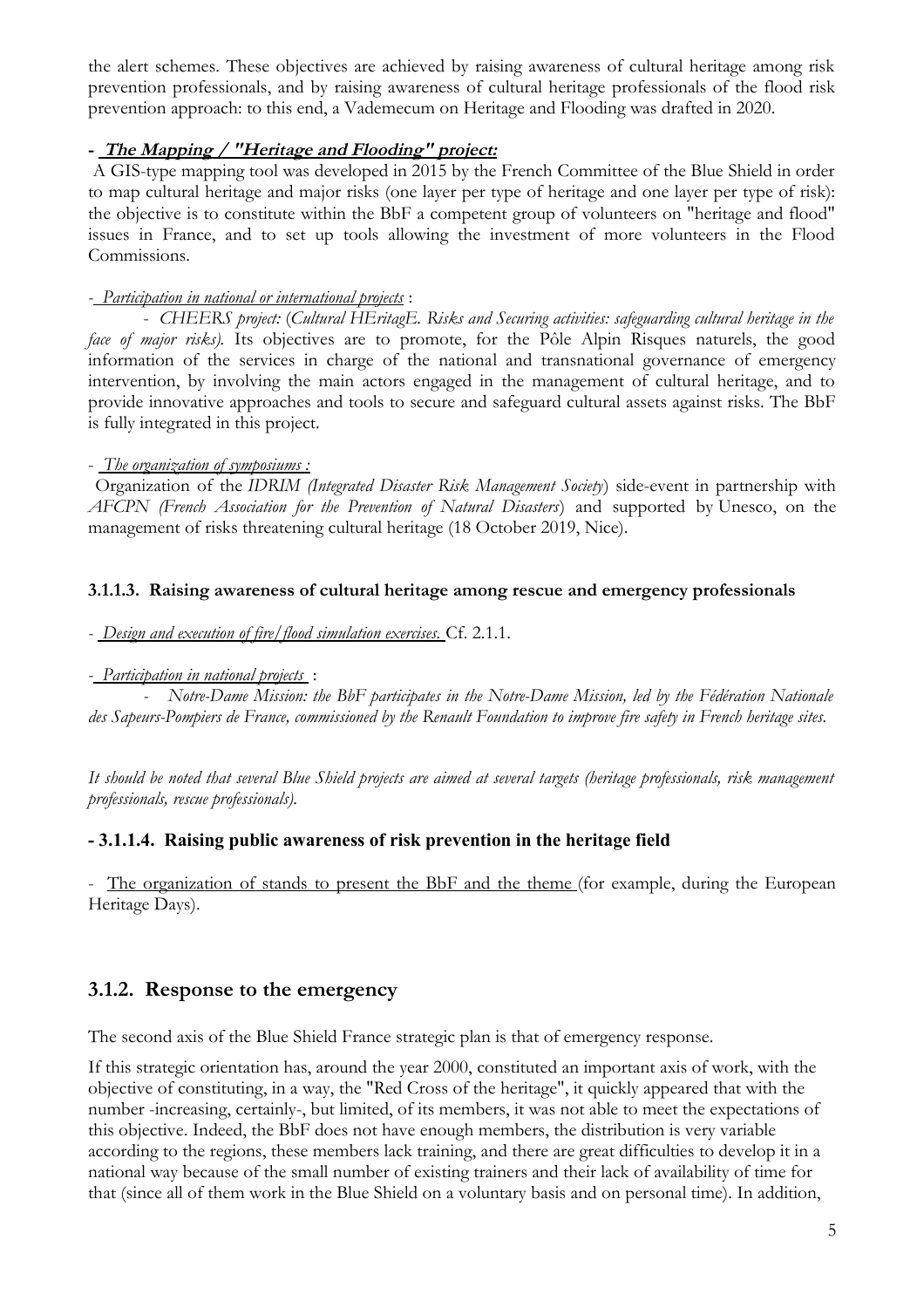the alert schemes. These objectives are achieved by raising awareness of cultural heritage among risk prevention professionals, and by raising awareness of cultural heritage professionals of the flood risk prevention approach: to this end, a Vademecum on Heritage and Flooding was drafted in 2020.

#### **- The Mapping / "Heritage and Flooding" project:**

 A GIS-type mapping tool was developed in 2015 by the French Committee of the Blue Shield in order to map cultural heritage and major risks (one layer per type of heritage and one layer per type of risk): the objective is to constitute within the BbF a competent group of volunteers on "heritage and flood" issues in France, and to set up tools allowing the investment of more volunteers in the Flood Commissions.

### *- Participation in national or international projects* :

- *CHEERS project:* (*Cultural HEritagE. Risks and Securing activities: safeguarding cultural heritage in the face of major risks*). Its objectives are to promote, for the Pôle Alpin Risques naturels, the good information of the services in charge of the national and transnational governance of emergency intervention, by involving the main actors engaged in the management of cultural heritage, and to provide innovative approaches and tools to secure and safeguard cultural assets against risks. The BbF is fully integrated in this project.

### - *The organization of symposiums :*

 Organization of the *IDRIM (Integrated Disaster Risk Management Society*) side-event in partnership with *AFCPN (French Association for the Prevention of Natural Disasters*) and supported by Unesco, on the management of risks threatening cultural heritage (18 October 2019, Nice).

### **3.1.1.3. Raising awareness of cultural heritage among rescue and emergency professionals**

*- Design and execution of fire/flood simulation exercises.* Cf. 2.1.1.

#### *- Participation in national projects* :

*- Notre-Dame Mission: the BbF participates in the Notre-Dame Mission, led by the Fédération Nationale des Sapeurs-Pompiers de France, commissioned by the Renault Foundation to improve fire safety in French heritage sites.*

*It should be noted that several Blue Shield projects are aimed at several targets (heritage professionals, risk management professionals, rescue professionals).*

# **- 3.1.1.4. Raising public awareness of risk prevention in the heritage field**

- The organization of stands to present the BbF and the theme (for example, during the European Heritage Days).

# **3.1.2. Response to the emergency**

The second axis of the Blue Shield France strategic plan is that of emergency response.

If this strategic orientation has, around the year 2000, constituted an important axis of work, with the objective of constituting, in a way, the "Red Cross of the heritage", it quickly appeared that with the number -increasing, certainly-, but limited, of its members, it was not able to meet the expectations of this objective. Indeed, the BbF does not have enough members, the distribution is very variable according to the regions, these members lack training, and there are great difficulties to develop it in a national way because of the small number of existing trainers and their lack of availability of time for that (since all of them work in the Blue Shield on a voluntary basis and on personal time). In addition,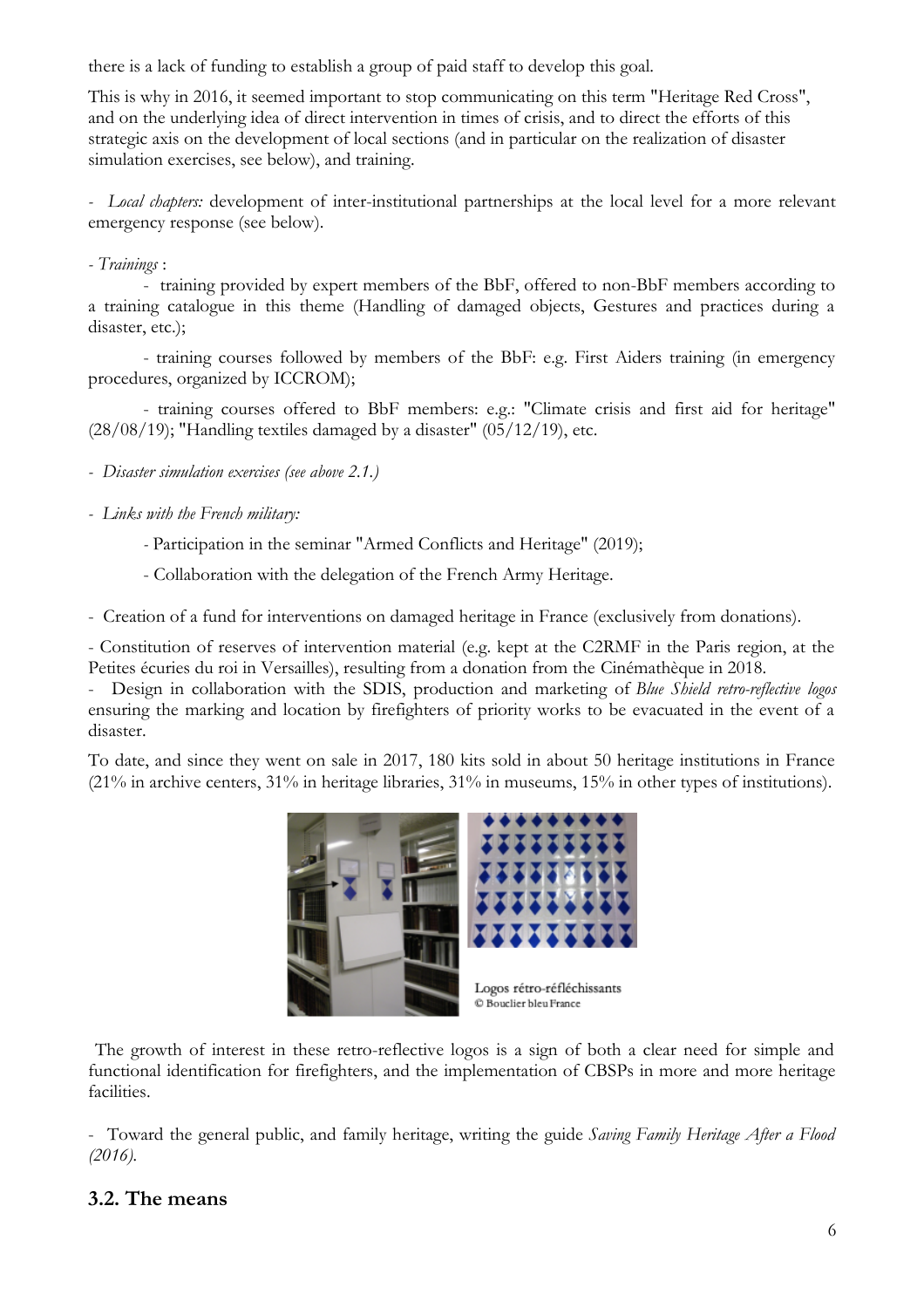there is a lack of funding to establish a group of paid staff to develop this goal.

This is why in 2016, it seemed important to stop communicating on this term "Heritage Red Cross", and on the underlying idea of direct intervention in times of crisis, and to direct the efforts of this strategic axis on the development of local sections (and in particular on the realization of disaster simulation exercises, see below), and training.

*- Local chapters:* development of inter-institutional partnerships at the local level for a more relevant emergency response (see below).

#### *- Trainings* :

- training provided by expert members of the BbF, offered to non-BbF members according to a training catalogue in this theme (Handling of damaged objects, Gestures and practices during a disaster, etc.);

- training courses followed by members of the BbF: e.g. First Aiders training (in emergency procedures, organized by ICCROM);

- training courses offered to BbF members: e.g.: "Climate crisis and first aid for heritage"  $(28/08/19)$ ; "Handling textiles damaged by a disaster"  $(05/12/19)$ , etc.

*- Disaster simulation exercises (see above 2.1.)*

*- Links with the French military:*

*-* Participation in the seminar "Armed Conflicts and Heritage" (2019);

- Collaboration with the delegation of the French Army Heritage.

- Creation of a fund for interventions on damaged heritage in France (exclusively from donations).

- Constitution of reserves of intervention material (e.g. kept at the C2RMF in the Paris region, at the Petites écuries du roi in Versailles), resulting from a donation from the Cinémathèque in 2018.

- Design in collaboration with the SDIS, production and marketing of *Blue Shield retro-reflective logos* ensuring the marking and location by firefighters of priority works to be evacuated in the event of a disaster.

To date, and since they went on sale in 2017, 180 kits sold in about 50 heritage institutions in France (21% in archive centers, 31% in heritage libraries, 31% in museums, 15% in other types of institutions).



 The growth of interest in these retro-reflective logos is a sign of both a clear need for simple and functional identification for firefighters, and the implementation of CBSPs in more and more heritage facilities.

- Toward the general public, and family heritage, writing the guide *Saving Family Heritage After a Flood (2016).*

#### **3.2. The means**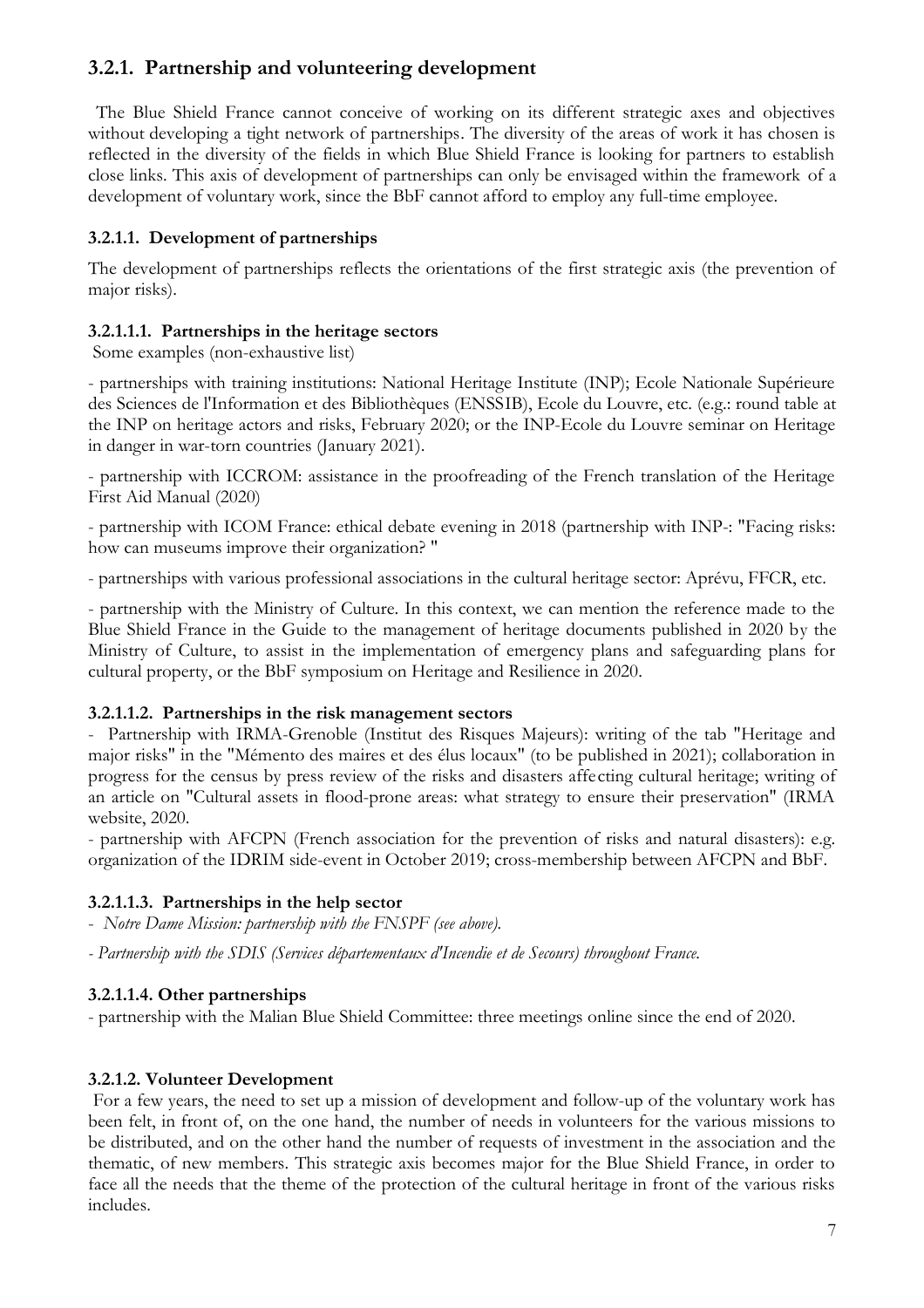# **3.2.1. Partnership and volunteering development**

 The Blue Shield France cannot conceive of working on its different strategic axes and objectives without developing a tight network of partnerships. The diversity of the areas of work it has chosen is reflected in the diversity of the fields in which Blue Shield France is looking for partners to establish close links. This axis of development of partnerships can only be envisaged within the framework of a development of voluntary work, since the BbF cannot afford to employ any full-time employee.

## **3.2.1.1. Development of partnerships**

The development of partnerships reflects the orientations of the first strategic axis (the prevention of major risks).

#### **3.2.1.1.1. Partnerships in the heritage sectors**

Some examples (non-exhaustive list)

- partnerships with training institutions: National Heritage Institute (INP); Ecole Nationale Supérieure des Sciences de l'Information et des Bibliothèques (ENSSIB), Ecole du Louvre, etc. (e.g.: round table at the INP on heritage actors and risks, February 2020; or the INP-Ecole du Louvre seminar on Heritage in danger in war-torn countries (January 2021).

- partnership with ICCROM: assistance in the proofreading of the French translation of the Heritage First Aid Manual (2020)

- partnership with ICOM France: ethical debate evening in 2018 (partnership with INP-: "Facing risks: how can museums improve their organization? "

- partnerships with various professional associations in the cultural heritage sector: Aprévu, FFCR, etc.

- partnership with the Ministry of Culture. In this context, we can mention the reference made to the Blue Shield France in the Guide to the management of heritage documents published in 2020 by the Ministry of Culture, to assist in the implementation of emergency plans and safeguarding plans for cultural property, or the BbF symposium on Heritage and Resilience in 2020.

#### **3.2.1.1.2. Partnerships in the risk management sectors**

- Partnership with IRMA-Grenoble (Institut des Risques Majeurs): writing of the tab "Heritage and major risks" in the "Mémento des maires et des élus locaux" (to be published in 2021); collaboration in progress for the census by press review of the risks and disasters affecting cultural heritage; writing of an article on "Cultural assets in flood-prone areas: what strategy to ensure their preservation" (IRMA website, 2020.

- partnership with AFCPN (French association for the prevention of risks and natural disasters): e.g. organization of the IDRIM side-event in October 2019; cross-membership between AFCPN and BbF.

#### **3.2.1.1.3. Partnerships in the help sector**

- *Notre Dame Mission: partnership with the FNSPF (see above).*

*- Partnership with the SDIS (Services départementaux d'Incendie et de Secours) throughout France.*

#### **3.2.1.1.4. Other partnerships**

- partnership with the Malian Blue Shield Committee: three meetings online since the end of 2020.

#### **3.2.1.2. Volunteer Development**

 For a few years, the need to set up a mission of development and follow-up of the voluntary work has been felt, in front of, on the one hand, the number of needs in volunteers for the various missions to be distributed, and on the other hand the number of requests of investment in the association and the thematic, of new members. This strategic axis becomes major for the Blue Shield France, in order to face all the needs that the theme of the protection of the cultural heritage in front of the various risks includes.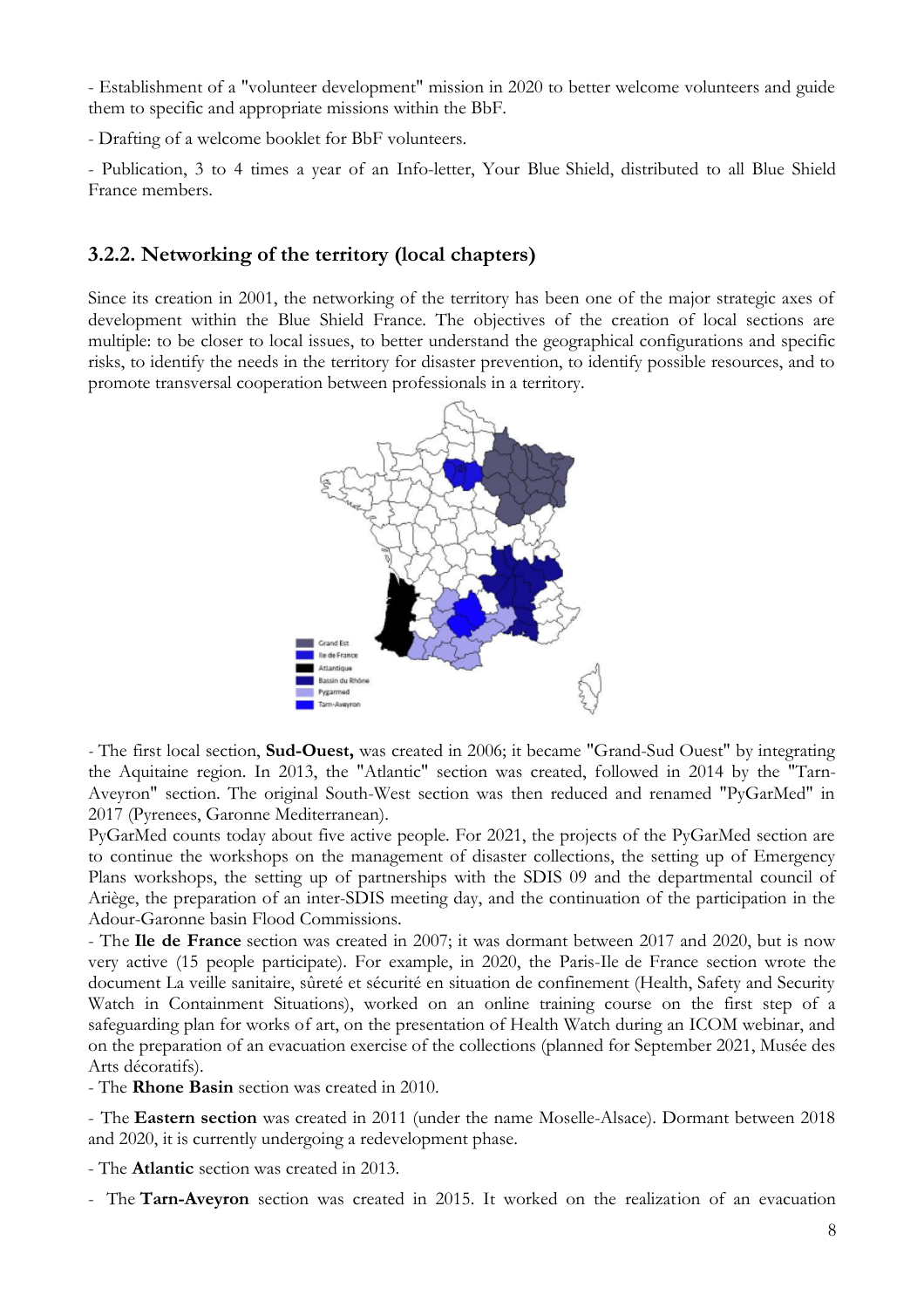- Establishment of a "volunteer development" mission in 2020 to better welcome volunteers and guide them to specific and appropriate missions within the BbF.

- Drafting of a welcome booklet for BbF volunteers.

- Publication, 3 to 4 times a year of an Info-letter, Your Blue Shield, distributed to all Blue Shield France members.

#### **3.2.2. Networking of the territory (local chapters)**

Since its creation in 2001, the networking of the territory has been one of the major strategic axes of development within the Blue Shield France. The objectives of the creation of local sections are multiple: to be closer to local issues, to better understand the geographical configurations and specific risks, to identify the needs in the territory for disaster prevention, to identify possible resources, and to promote transversal cooperation between professionals in a territory.



*-* The first local section, **Sud-Ouest,** was created in 2006; it became "Grand-Sud Ouest" by integrating the Aquitaine region. In 2013, the "Atlantic" section was created, followed in 2014 by the "Tarn-Aveyron" section. The original South-West section was then reduced and renamed "PyGarMed" in 2017 (Pyrenees, Garonne Mediterranean).

PyGarMed counts today about five active people. For 2021, the projects of the PyGarMed section are to continue the workshops on the management of disaster collections, the setting up of Emergency Plans workshops, the setting up of partnerships with the SDIS 09 and the departmental council of Ariège, the preparation of an inter-SDIS meeting day, and the continuation of the participation in the Adour-Garonne basin Flood Commissions.

- The **Ile de France** section was created in 2007; it was dormant between 2017 and 2020, but is now very active (15 people participate). For example, in 2020, the Paris-Ile de France section wrote the document La veille sanitaire, sûreté et sécurité en situation de confinement (Health, Safety and Security Watch in Containment Situations), worked on an online training course on the first step of a safeguarding plan for works of art, on the presentation of Health Watch during an ICOM webinar, and on the preparation of an evacuation exercise of the collections (planned for September 2021, Musée des Arts décoratifs).

- The **Rhone Basin** section was created in 2010.

- The **Eastern section** was created in 2011 (under the name Moselle-Alsace). Dormant between 2018 and 2020, it is currently undergoing a redevelopment phase.

- The **Atlantic** section was created in 2013.

- The **Tarn-Aveyron** section was created in 2015. It worked on the realization of an evacuation